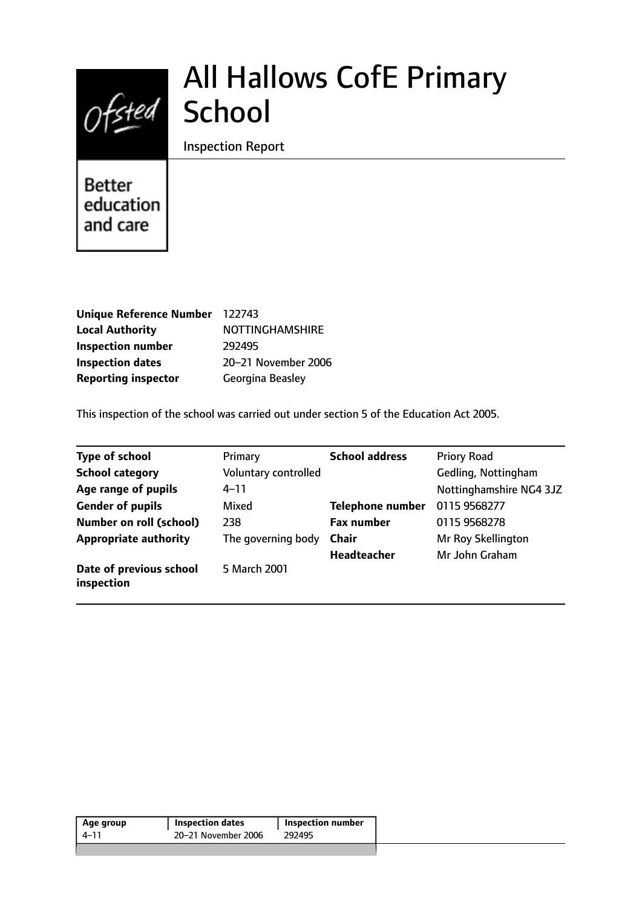# Ofsted School

# All Hallows CofE Primary

Inspection Report

Better education and care

| Unique Reference Number 122743 |                         |
|--------------------------------|-------------------------|
| <b>Local Authority</b>         | <b>NOTTINGHAMSHIRE</b>  |
| <b>Inspection number</b>       | 292495                  |
| <b>Inspection dates</b>        | 20-21 November 2006     |
| <b>Reporting inspector</b>     | <b>Georgina Beasley</b> |

This inspection of the school was carried out under section 5 of the Education Act 2005.

| <b>Type of school</b>                 | Primary              | <b>School address</b>   | <b>Priory Road</b>      |
|---------------------------------------|----------------------|-------------------------|-------------------------|
| <b>School category</b>                | Voluntary controlled |                         | Gedling, Nottingham     |
| Age range of pupils                   | $4 - 11$             |                         | Nottinghamshire NG4 3JZ |
| <b>Gender of pupils</b>               | Mixed                | <b>Telephone number</b> | 0115 9568277            |
| <b>Number on roll (school)</b>        | 238                  | <b>Fax number</b>       | 0115 9568278            |
| <b>Appropriate authority</b>          | The governing body   | <b>Chair</b>            | Mr Roy Skellington      |
|                                       |                      | <b>Headteacher</b>      | Mr John Graham          |
| Date of previous school<br>inspection | 5 March 2001         |                         |                         |

| Age group | <b>Inspection dates</b> | <b>Inspection number</b> |
|-----------|-------------------------|--------------------------|
| $4 - 11$  | 20–21 November 2006     | 292495                   |
|           |                         |                          |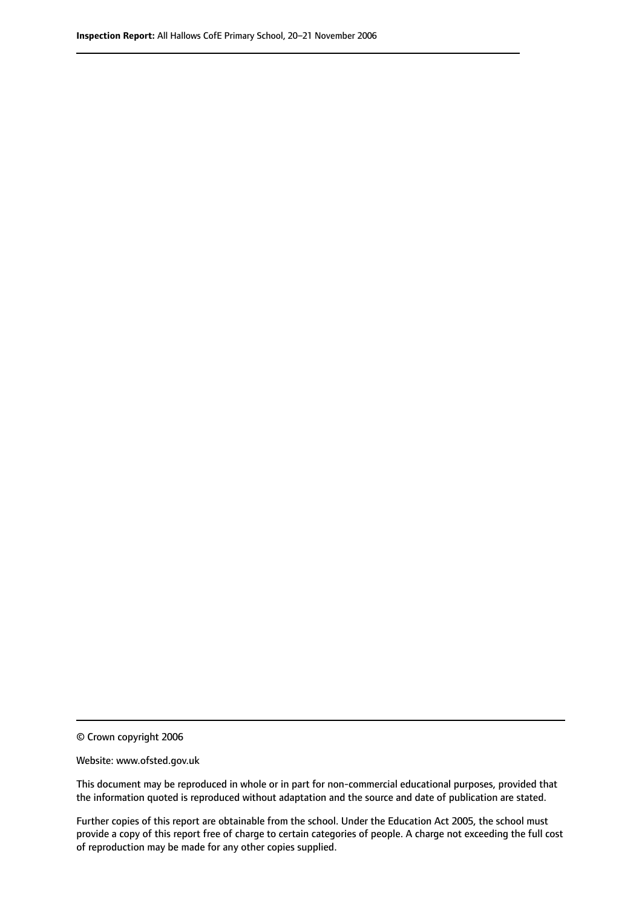© Crown copyright 2006

Website: www.ofsted.gov.uk

This document may be reproduced in whole or in part for non-commercial educational purposes, provided that the information quoted is reproduced without adaptation and the source and date of publication are stated.

Further copies of this report are obtainable from the school. Under the Education Act 2005, the school must provide a copy of this report free of charge to certain categories of people. A charge not exceeding the full cost of reproduction may be made for any other copies supplied.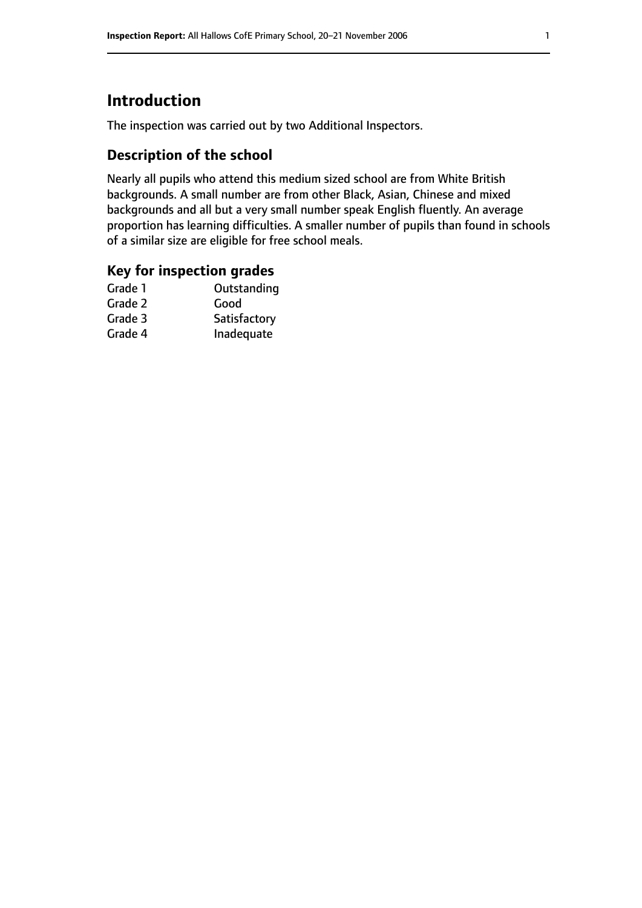## **Introduction**

The inspection was carried out by two Additional Inspectors.

## **Description of the school**

Nearly all pupils who attend this medium sized school are from White British backgrounds. A small number are from other Black, Asian, Chinese and mixed backgrounds and all but a very small number speak English fluently. An average proportion has learning difficulties. A smaller number of pupils than found in schools of a similar size are eligible for free school meals.

### **Key for inspection grades**

| Good         |
|--------------|
|              |
| Satisfactory |
| Inadequate   |
|              |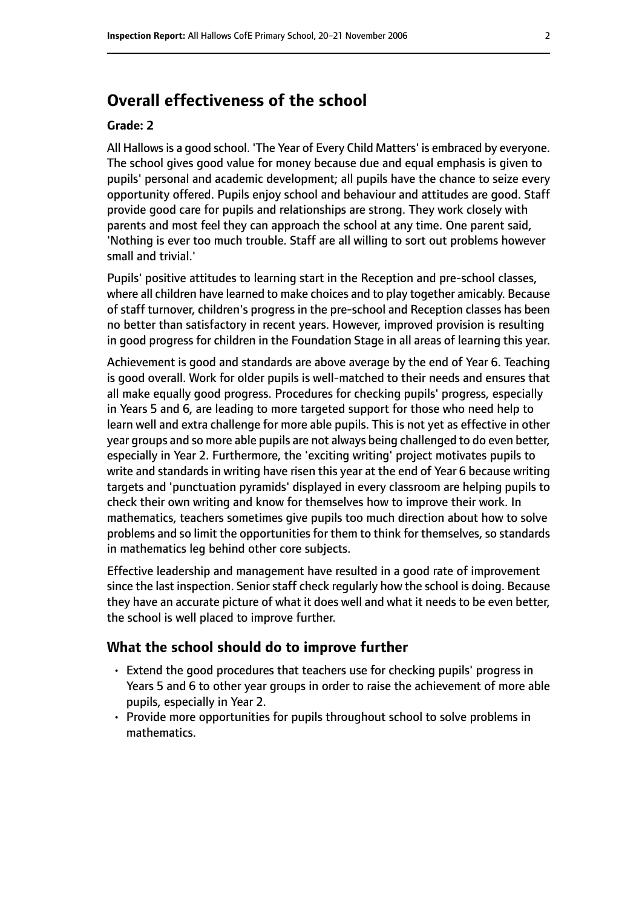## **Overall effectiveness of the school**

#### **Grade: 2**

All Hallows is a good school. 'The Year of Every Child Matters' is embraced by everyone. The school gives good value for money because due and equal emphasis is given to pupils' personal and academic development; all pupils have the chance to seize every opportunity offered. Pupils enjoy school and behaviour and attitudes are good. Staff provide good care for pupils and relationships are strong. They work closely with parents and most feel they can approach the school at any time. One parent said, 'Nothing is ever too much trouble. Staff are all willing to sort out problems however small and trivial.'

Pupils' positive attitudes to learning start in the Reception and pre-school classes, where all children have learned to make choices and to play together amicably. Because of staff turnover, children's progress in the pre-school and Reception classes has been no better than satisfactory in recent years. However, improved provision is resulting in good progress for children in the Foundation Stage in all areas of learning this year.

Achievement is good and standards are above average by the end of Year 6. Teaching is good overall. Work for older pupils is well-matched to their needs and ensures that all make equally good progress. Procedures for checking pupils' progress, especially in Years 5 and 6, are leading to more targeted support for those who need help to learn well and extra challenge for more able pupils. This is not yet as effective in other year groups and so more able pupils are not always being challenged to do even better, especially in Year 2. Furthermore, the 'exciting writing' project motivates pupils to write and standards in writing have risen this year at the end of Year 6 because writing targets and 'punctuation pyramids' displayed in every classroom are helping pupils to check their own writing and know for themselves how to improve their work. In mathematics, teachers sometimes give pupils too much direction about how to solve problems and so limit the opportunities for them to think for themselves, so standards in mathematics leg behind other core subjects.

Effective leadership and management have resulted in a good rate of improvement since the last inspection. Senior staff check regularly how the school is doing. Because they have an accurate picture of what it does well and what it needs to be even better, the school is well placed to improve further.

#### **What the school should do to improve further**

- Extend the good procedures that teachers use for checking pupils' progress in Years 5 and 6 to other year groups in order to raise the achievement of more able pupils, especially in Year 2.
- Provide more opportunities for pupils throughout school to solve problems in mathematics.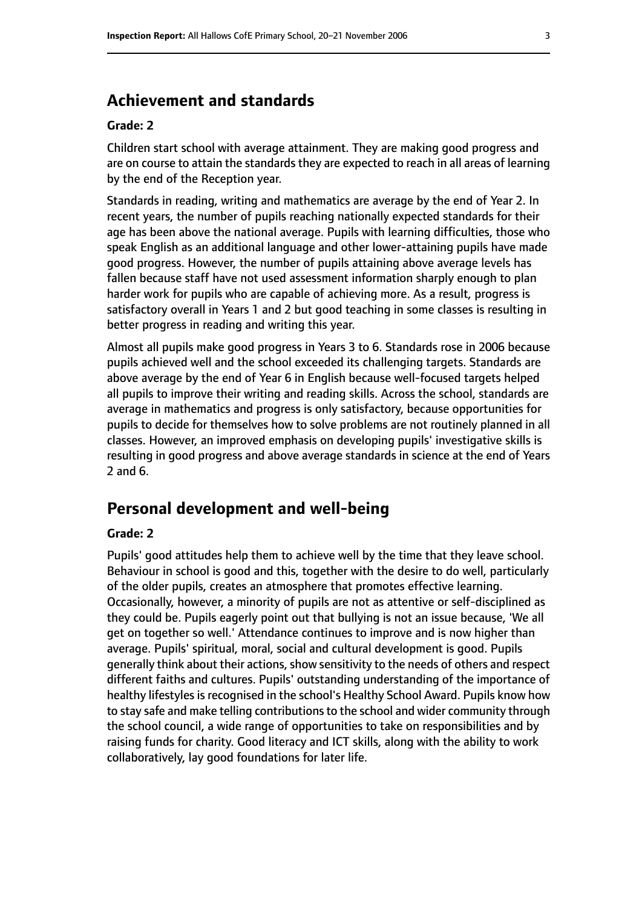## **Achievement and standards**

#### **Grade: 2**

Children start school with average attainment. They are making good progress and are on course to attain the standards they are expected to reach in all areas of learning by the end of the Reception year.

Standards in reading, writing and mathematics are average by the end of Year 2. In recent years, the number of pupils reaching nationally expected standards for their age has been above the national average. Pupils with learning difficulties, those who speak English as an additional language and other lower-attaining pupils have made good progress. However, the number of pupils attaining above average levels has fallen because staff have not used assessment information sharply enough to plan harder work for pupils who are capable of achieving more. As a result, progress is satisfactory overall in Years 1 and 2 but good teaching in some classes is resulting in better progress in reading and writing this year.

Almost all pupils make good progress in Years 3 to 6. Standards rose in 2006 because pupils achieved well and the school exceeded its challenging targets. Standards are above average by the end of Year 6 in English because well-focused targets helped all pupils to improve their writing and reading skills. Across the school, standards are average in mathematics and progress is only satisfactory, because opportunities for pupils to decide for themselves how to solve problems are not routinely planned in all classes. However, an improved emphasis on developing pupils' investigative skills is resulting in good progress and above average standards in science at the end of Years 2 and 6.

## **Personal development and well-being**

#### **Grade: 2**

Pupils' good attitudes help them to achieve well by the time that they leave school. Behaviour in school is good and this, together with the desire to do well, particularly of the older pupils, creates an atmosphere that promotes effective learning. Occasionally, however, a minority of pupils are not as attentive or self-disciplined as they could be. Pupils eagerly point out that bullying is not an issue because, 'We all get on together so well.' Attendance continues to improve and is now higher than average. Pupils' spiritual, moral, social and cultural development is good. Pupils generally think about their actions, show sensitivity to the needs of others and respect different faiths and cultures. Pupils' outstanding understanding of the importance of healthy lifestyles is recognised in the school's Healthy School Award. Pupils know how to stay safe and make telling contributions to the school and wider community through the school council, a wide range of opportunities to take on responsibilities and by raising funds for charity. Good literacy and ICT skills, along with the ability to work collaboratively, lay good foundations for later life.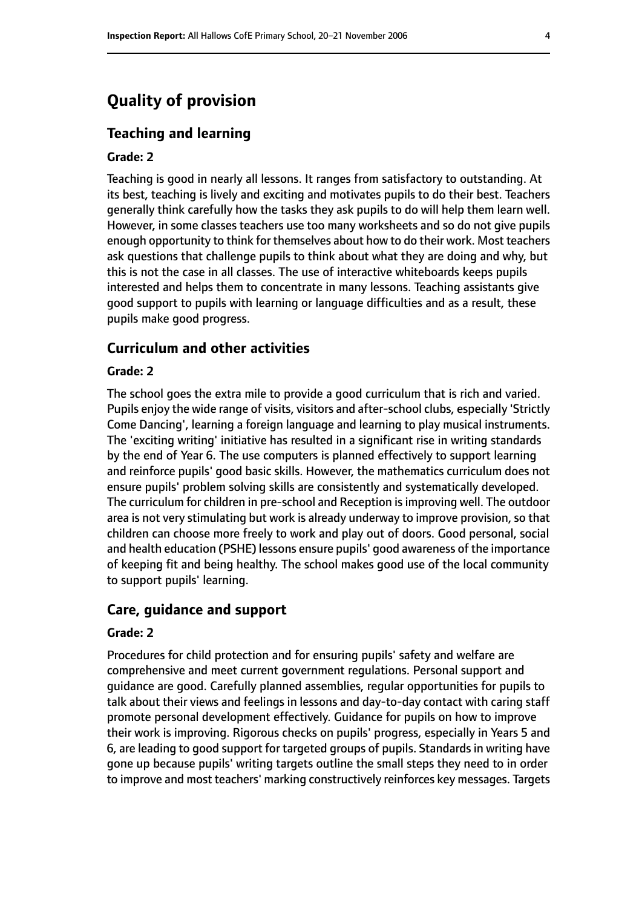## **Quality of provision**

#### **Teaching and learning**

#### **Grade: 2**

Teaching is good in nearly all lessons. It ranges from satisfactory to outstanding. At its best, teaching is lively and exciting and motivates pupils to do their best. Teachers generally think carefully how the tasks they ask pupils to do will help them learn well. However, in some classes teachers use too many worksheets and so do not give pupils enough opportunity to think for themselves about how to do their work. Most teachers ask questions that challenge pupils to think about what they are doing and why, but this is not the case in all classes. The use of interactive whiteboards keeps pupils interested and helps them to concentrate in many lessons. Teaching assistants give good support to pupils with learning or language difficulties and as a result, these pupils make good progress.

#### **Curriculum and other activities**

#### **Grade: 2**

The school goes the extra mile to provide a good curriculum that is rich and varied. Pupils enjoy the wide range of visits, visitors and after-school clubs, especially 'Strictly Come Dancing', learning a foreign language and learning to play musical instruments. The 'exciting writing' initiative has resulted in a significant rise in writing standards by the end of Year 6. The use computers is planned effectively to support learning and reinforce pupils' good basic skills. However, the mathematics curriculum does not ensure pupils' problem solving skills are consistently and systematically developed. The curriculum for children in pre-school and Reception is improving well. The outdoor area is not very stimulating but work is already underway to improve provision, so that children can choose more freely to work and play out of doors. Good personal, social and health education (PSHE) lessons ensure pupils' good awareness of the importance of keeping fit and being healthy. The school makes good use of the local community to support pupils' learning.

#### **Care, guidance and support**

#### **Grade: 2**

Procedures for child protection and for ensuring pupils' safety and welfare are comprehensive and meet current government regulations. Personal support and guidance are good. Carefully planned assemblies, regular opportunities for pupils to talk about their views and feelings in lessons and day-to-day contact with caring staff promote personal development effectively. Guidance for pupils on how to improve their work is improving. Rigorous checks on pupils' progress, especially in Years 5 and 6, are leading to good support for targeted groups of pupils. Standards in writing have gone up because pupils' writing targets outline the small steps they need to in order to improve and most teachers' marking constructively reinforces key messages. Targets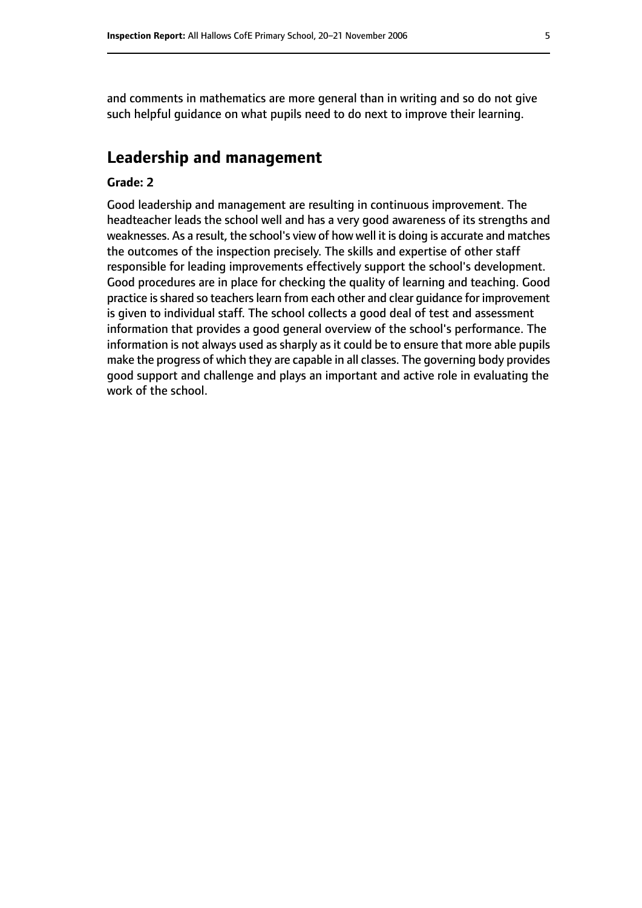and comments in mathematics are more general than in writing and so do not give such helpful guidance on what pupils need to do next to improve their learning.

## **Leadership and management**

#### **Grade: 2**

Good leadership and management are resulting in continuous improvement. The headteacher leads the school well and has a very good awareness of its strengths and weaknesses. As a result, the school's view of how well it is doing is accurate and matches the outcomes of the inspection precisely. The skills and expertise of other staff responsible for leading improvements effectively support the school's development. Good procedures are in place for checking the quality of learning and teaching. Good practice is shared so teachers learn from each other and clear guidance for improvement is given to individual staff. The school collects a good deal of test and assessment information that provides a good general overview of the school's performance. The information is not always used as sharply as it could be to ensure that more able pupils make the progress of which they are capable in all classes. The governing body provides good support and challenge and plays an important and active role in evaluating the work of the school.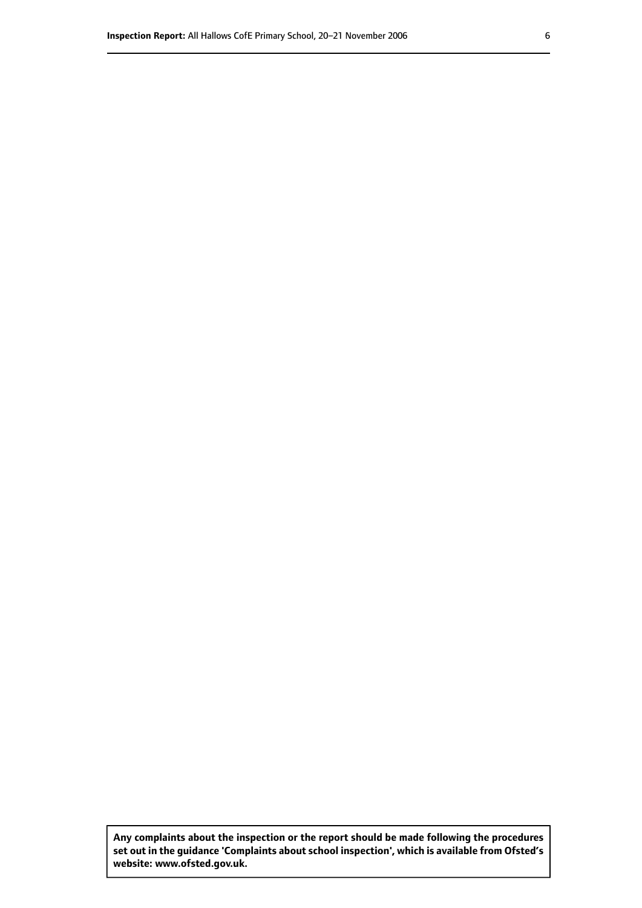**Any complaints about the inspection or the report should be made following the procedures set out inthe guidance 'Complaints about school inspection', whichis available from Ofsted's website: www.ofsted.gov.uk.**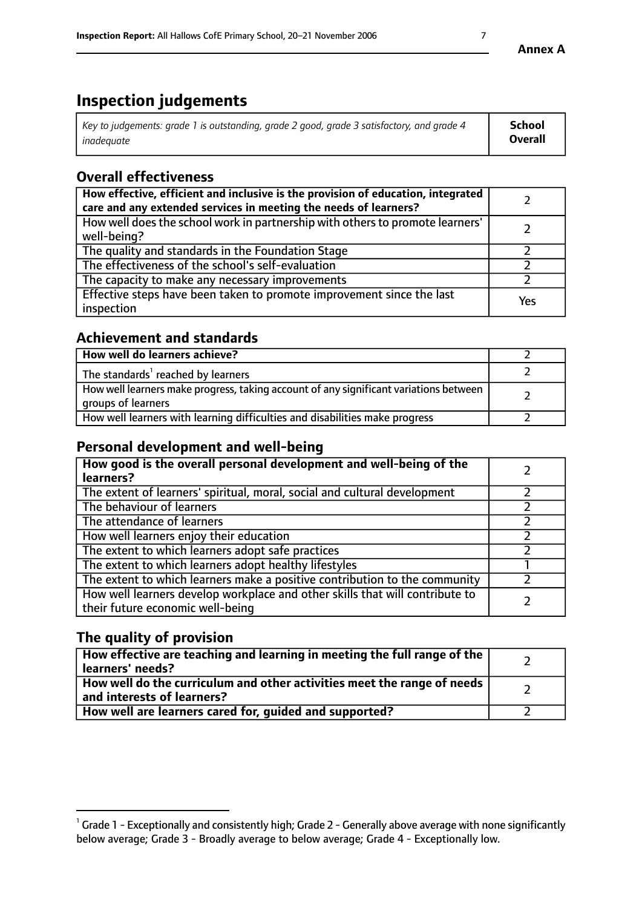# **Inspection judgements**

| Key to judgements: grade 1 is outstanding, grade 2 good, grade 3 satisfactory, and grade 4 | School  |
|--------------------------------------------------------------------------------------------|---------|
| inadeauate                                                                                 | Overall |

## **Overall effectiveness**

| How effective, efficient and inclusive is the provision of education, integrated<br>care and any extended services in meeting the needs of learners? |     |
|------------------------------------------------------------------------------------------------------------------------------------------------------|-----|
| How well does the school work in partnership with others to promote learners'<br>well-being?                                                         |     |
| The quality and standards in the Foundation Stage                                                                                                    |     |
| The effectiveness of the school's self-evaluation                                                                                                    |     |
| The capacity to make any necessary improvements                                                                                                      |     |
| Effective steps have been taken to promote improvement since the last<br>inspection                                                                  | Yes |

## **Achievement and standards**

| How well do learners achieve?                                                                               |  |
|-------------------------------------------------------------------------------------------------------------|--|
| The standards <sup>1</sup> reached by learners                                                              |  |
| How well learners make progress, taking account of any significant variations between<br>groups of learners |  |
| How well learners with learning difficulties and disabilities make progress                                 |  |

## **Personal development and well-being**

| How good is the overall personal development and well-being of the<br>learners?                                  |  |
|------------------------------------------------------------------------------------------------------------------|--|
| The extent of learners' spiritual, moral, social and cultural development                                        |  |
| The behaviour of learners                                                                                        |  |
| The attendance of learners                                                                                       |  |
| How well learners enjoy their education                                                                          |  |
| The extent to which learners adopt safe practices                                                                |  |
| The extent to which learners adopt healthy lifestyles                                                            |  |
| The extent to which learners make a positive contribution to the community                                       |  |
| How well learners develop workplace and other skills that will contribute to<br>their future economic well-being |  |

## **The quality of provision**

| How effective are teaching and learning in meeting the full range of the<br>learners' needs?          |  |
|-------------------------------------------------------------------------------------------------------|--|
| How well do the curriculum and other activities meet the range of needs<br>and interests of learners? |  |
| How well are learners cared for, guided and supported?                                                |  |

 $^1$  Grade 1 - Exceptionally and consistently high; Grade 2 - Generally above average with none significantly below average; Grade 3 - Broadly average to below average; Grade 4 - Exceptionally low.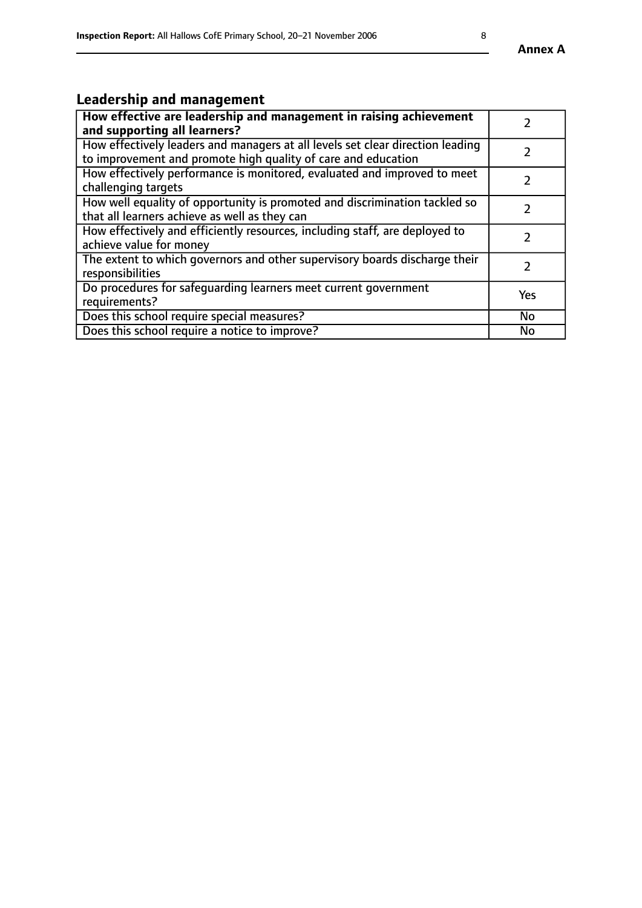## **Leadership and management**

| How effective are leadership and management in raising achievement<br>and supporting all learners?                                              |               |
|-------------------------------------------------------------------------------------------------------------------------------------------------|---------------|
| How effectively leaders and managers at all levels set clear direction leading<br>to improvement and promote high quality of care and education |               |
| How effectively performance is monitored, evaluated and improved to meet<br>challenging targets                                                 | $\mathcal{L}$ |
| How well equality of opportunity is promoted and discrimination tackled so<br>that all learners achieve as well as they can                     |               |
| How effectively and efficiently resources, including staff, are deployed to<br>achieve value for money                                          | $\mathcal{P}$ |
| The extent to which governors and other supervisory boards discharge their<br>responsibilities                                                  |               |
| Do procedures for safequarding learners meet current government<br>requirements?                                                                | Yes           |
| Does this school require special measures?                                                                                                      | No            |
| Does this school require a notice to improve?                                                                                                   | <b>No</b>     |